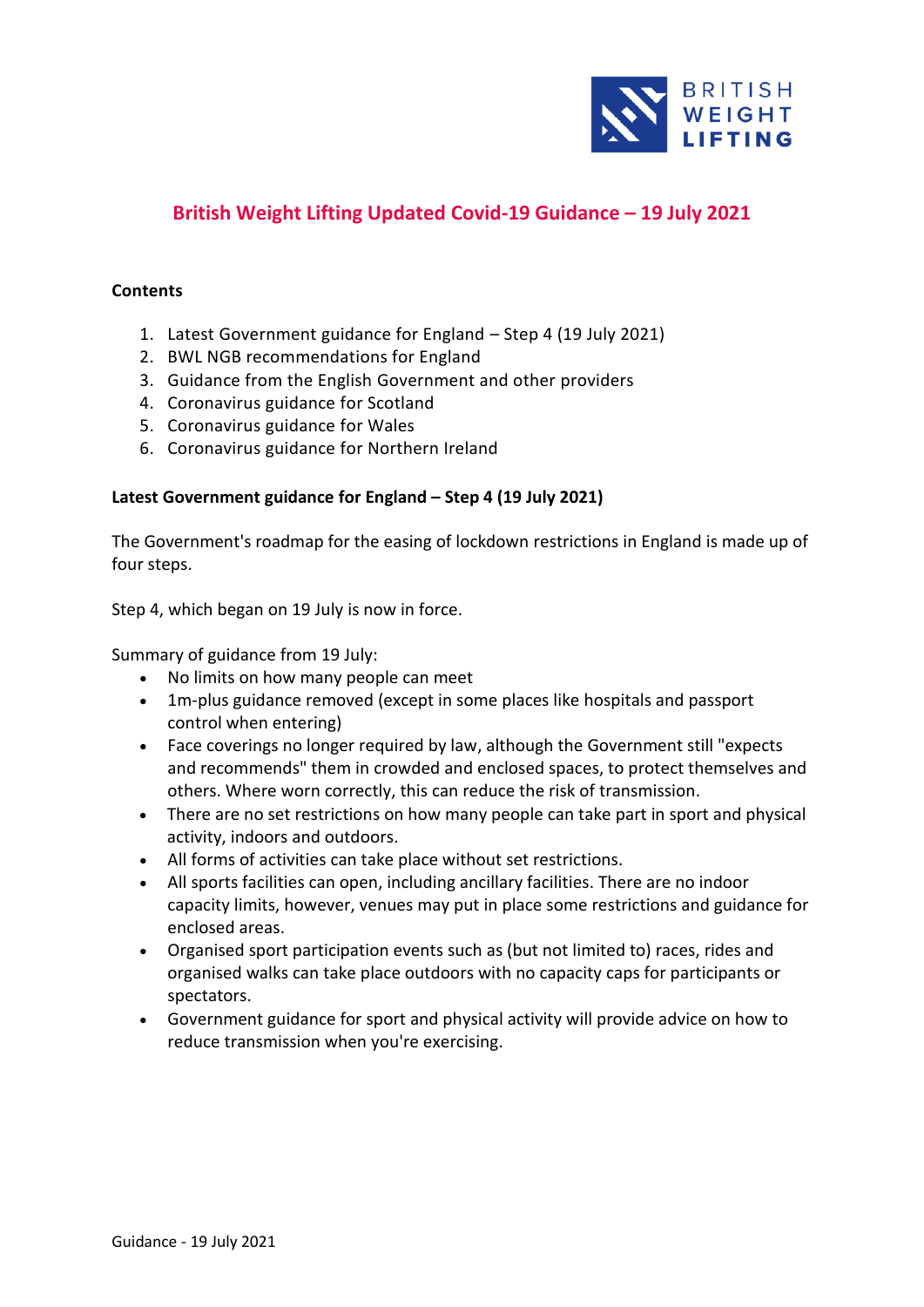

# **British Weight Lifting Updated Covid-19 Guidance – 19 July 2021**

## **Contents**

- 1. Latest Government guidance for England Step 4 (19 July 2021)
- 2. BWL NGB recommendations for England
- 3. Guidance from the English Government and other providers
- 4. Coronavirus guidance for Scotland
- 5. Coronavirus guidance for Wales
- 6. Coronavirus guidance for Northern Ireland

## **Latest Government guidance for England – Step 4 (19 July 2021)**

The Government's roadmap for the easing of lockdown restrictions in England is made up of four steps.

Step 4, which began on 19 July is now in force.

Summary of guidance from 19 July:

- No limits on [how many people can meet](https://www.bbc.co.uk/news/uk-51506729)
- 1m-plus guidance removed (except in some places like hospitals and passport control when entering)
- [Face coverings no longer required by law,](https://www.bbc.co.uk/news/health-51205344) although the Government still "expects and recommends" them in crowded and enclosed spaces, to protect themselves and others. Where worn correctly, this can reduce the risk of transmission.
- There are no set restrictions on how many people can take part in sport and physical activity, indoors and outdoors.
- All forms of activities can take place without set restrictions.
- All sports facilities can open, including ancillary facilities. There are no indoor capacity limits, however, venues may put in place some restrictions and guidance for enclosed areas.
- Organised sport participation events such as (but not limited to) races, rides and organised walks can take place outdoors with no capacity caps for participants or spectators.
- Government guidance for sport and physical activity will provide advice on how to reduce transmission when you're exercising.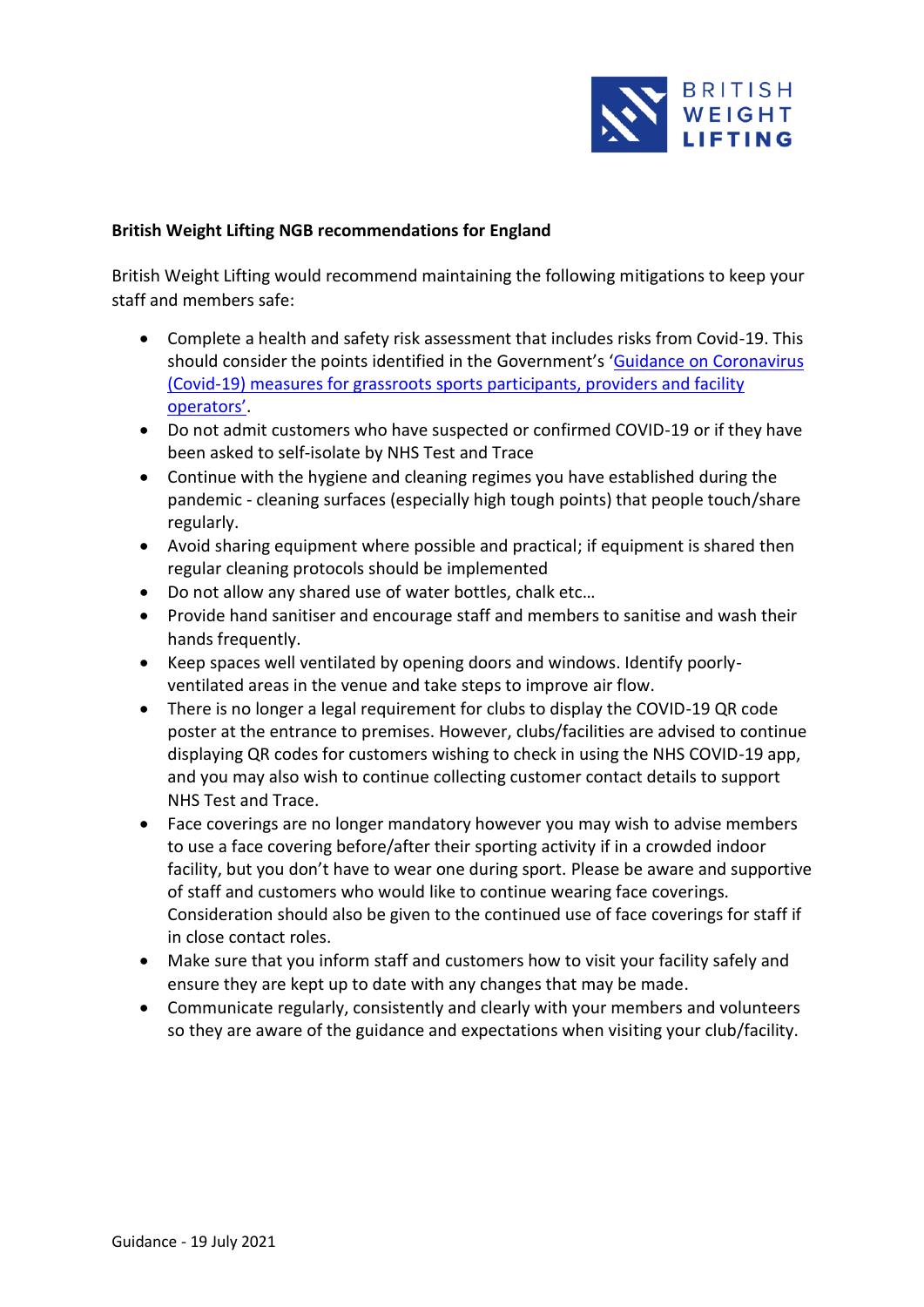

## **British Weight Lifting NGB recommendations for England**

British Weight Lifting would recommend maintaining the following mitigations to keep your staff and members safe:

- Complete a health and safety risk assessment that includes risks from Covid-19. This should consider the points identified in the Government's 'Guidance on Coronavirus [\(Covid-19\) measures for grassroots sports participants, providers and facility](https://www.gov.uk/guidance/coronavirus-covid-19-grassroots-sports-guidance-for-the-public-and-sport-providers#how-to-manage-a-sport-facility-safely)  [operators'](https://www.gov.uk/guidance/coronavirus-covid-19-grassroots-sports-guidance-for-the-public-and-sport-providers#how-to-manage-a-sport-facility-safely).
- Do not admit customers who have suspected or confirmed COVID-19 or if they have been asked to self-isolate by NHS Test and Trace
- Continue with the hygiene and cleaning regimes you have established during the pandemic - cleaning surfaces (especially high tough points) that people touch/share regularly.
- Avoid sharing equipment where possible and practical; if equipment is shared then regular cleaning protocols should be implemented
- Do not allow any shared use of water bottles, chalk etc…
- Provide hand sanitiser and encourage staff and members to sanitise and wash their hands frequently.
- Keep spaces well ventilated by opening doors and windows. Identify poorlyventilated areas in the venue and take steps to improve air flow.
- There is no longer a legal requirement for clubs to display the COVID-19 QR code poster at the entrance to premises. However, clubs/facilities are advised to continue displaying QR codes for customers wishing to check in using the NHS COVID-19 app, and you may also wish to continue collecting customer contact details to support NHS Test and Trace.
- Face coverings are no longer mandatory however you may wish to advise members to use a face covering before/after their sporting activity if in a crowded indoor facility, but you don't have to wear one during sport. Please be aware and supportive of staff and customers who would like to continue wearing face coverings. Consideration should also be given to the continued use of face coverings for staff if in close contact roles.
- Make sure that you inform staff and customers how to visit your facility safely and ensure they are kept up to date with any changes that may be made.
- Communicate regularly, consistently and clearly with your members and volunteers so they are aware of the guidance and expectations when visiting your club/facility.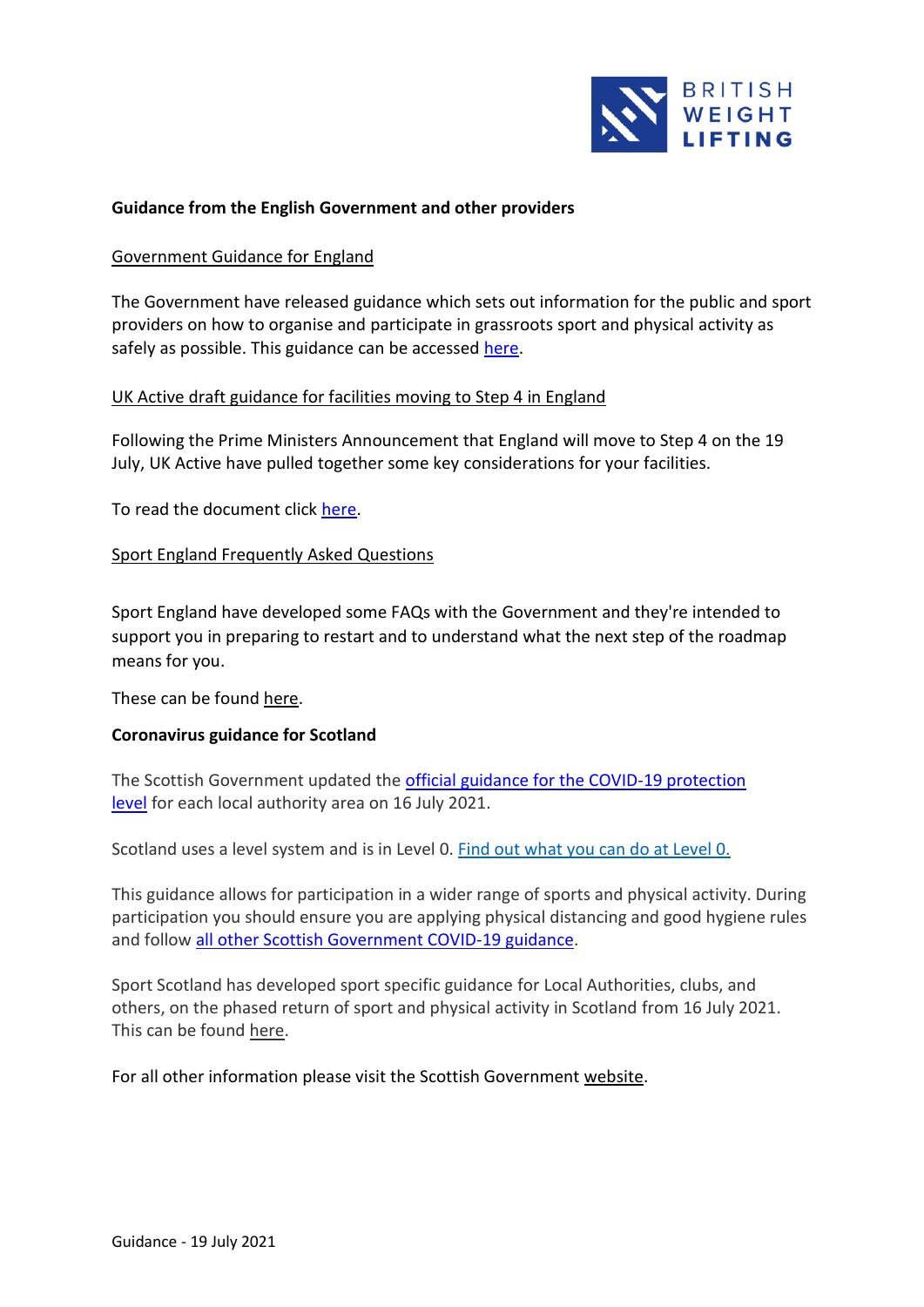

## **Guidance from the English Government and other providers**

#### Government Guidance for England

The Government have released guidance which sets out information for the public and sport providers on how to organise and participate in grassroots sport and physical activity as safely as possible. This guidance can be accessed [here.](https://www.gov.uk/guidance/coronavirus-covid-19-grassroots-sports-guidance-for-the-public-and-sport-providers#how-to-manage-a-sport-facility-safely)

## UK Active draft guidance for facilities moving to Step 4 in England

Following the Prime Ministers Announcement that England will move to Step 4 on the 19 July, UK Active have pulled together some key considerations for your facilities.

To read the document click [here.](https://www.ukactive.com/covid-19/)

#### Sport England Frequently Asked Questions

Sport England have developed some FAQs with the Government and they're intended to support you in preparing to restart and to understand what the next step of the roadmap means for you.

These can be found [here.](https://www.sportengland.org/how-we-can-help/coronavirus/return-play/frequently-asked-questions-national-coronavirus?section=step_4_-_from_19_july)

## **Coronavirus guidance for Scotland**

The Scottish Government updated the [official guidance for the COVID-19 protection](https://www.gov.scot/publications/coronavirus-covid-19-protection-levels/)  [level](https://www.gov.scot/publications/coronavirus-covid-19-protection-levels/) for each local authority area on 16 July 2021.

Scotland uses a level system and is in Level 0. [Find out what you can do at Level 0.](https://www.gov.scot/publications/coronavirus-covid-19-protection-levels/pages/protection-level-0/)

This guidance allows for participation in a wider range of sports and physical activity. During participation you should ensure you are applying physical distancing and good hygiene rules and follow [all other Scottish Government COVID-19 guidance.](https://www.gov.scot/coronavirus-covid-19/)

Sport Scotland has developed sport specific guidance for Local Authorities, clubs, and others, on the phased return of sport and physical activity in Scotland from 16 July 2021. This can be found [here.](https://sportscotland.org.uk/media/6806/return-to-sport-guidance-16-july-2021.pdf)

For all other information please visit the Scottish Government [website.](https://www.gov.scot/coronavirus-covid-19/)